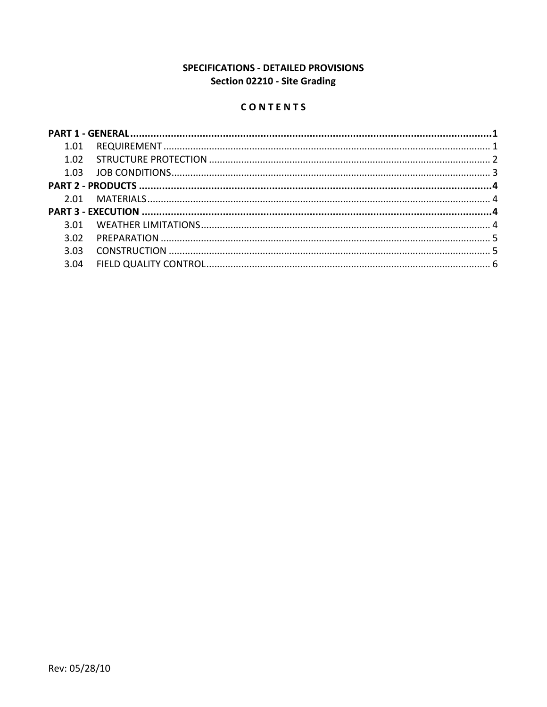# SPECIFICATIONS - DETAILED PROVISIONS Section 02210 - Site Grading

# CONTENTS

| 3.03 |  |
|------|--|
| 3.04 |  |
|      |  |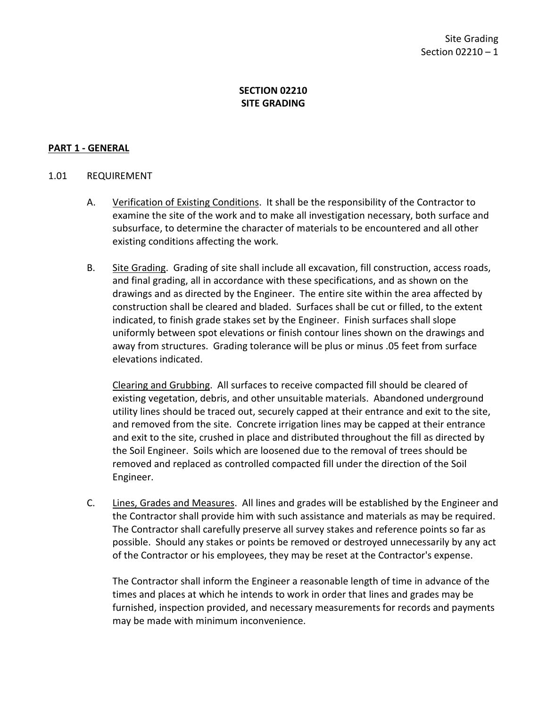### **SECTION 02210 SITE GRADING**

#### <span id="page-2-0"></span>**PART 1 - GENERAL**

#### <span id="page-2-1"></span>1.01 REQUIREMENT

- A. Verification of Existing Conditions. It shall be the responsibility of the Contractor to examine the site of the work and to make all investigation necessary, both surface and subsurface, to determine the character of materials to be encountered and all other existing conditions affecting the work.
- B. Site Grading. Grading of site shall include all excavation, fill construction, access roads, and final grading, all in accordance with these specifications, and as shown on the drawings and as directed by the Engineer. The entire site within the area affected by construction shall be cleared and bladed. Surfaces shall be cut or filled, to the extent indicated, to finish grade stakes set by the Engineer. Finish surfaces shall slope uniformly between spot elevations or finish contour lines shown on the drawings and away from structures. Grading tolerance will be plus or minus .05 feet from surface elevations indicated.

Clearing and Grubbing. All surfaces to receive compacted fill should be cleared of existing vegetation, debris, and other unsuitable materials. Abandoned underground utility lines should be traced out, securely capped at their entrance and exit to the site, and removed from the site. Concrete irrigation lines may be capped at their entrance and exit to the site, crushed in place and distributed throughout the fill as directed by the Soil Engineer. Soils which are loosened due to the removal of trees should be removed and replaced as controlled compacted fill under the direction of the Soil Engineer.

C. Lines, Grades and Measures. All lines and grades will be established by the Engineer and the Contractor shall provide him with such assistance and materials as may be required. The Contractor shall carefully preserve all survey stakes and reference points so far as possible. Should any stakes or points be removed or destroyed unnecessarily by any act of the Contractor or his employees, they may be reset at the Contractor's expense.

The Contractor shall inform the Engineer a reasonable length of time in advance of the times and places at which he intends to work in order that lines and grades may be furnished, inspection provided, and necessary measurements for records and payments may be made with minimum inconvenience.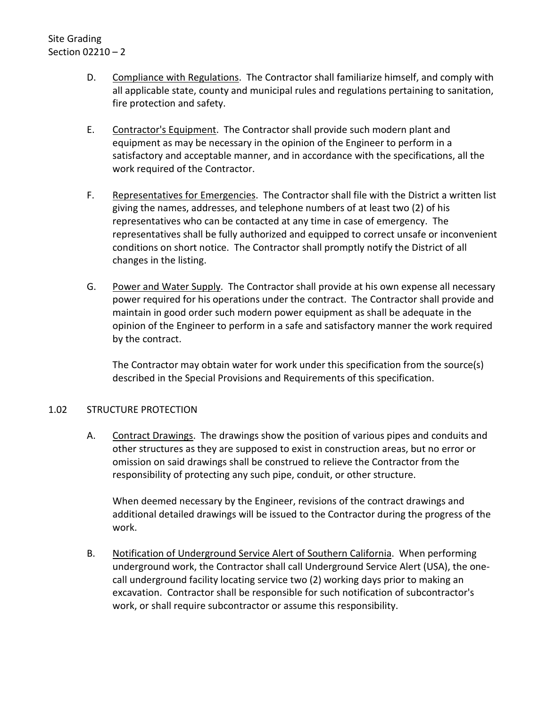Site Grading Section 02210 – 2

- D. Compliance with Regulations. The Contractor shall familiarize himself, and comply with all applicable state, county and municipal rules and regulations pertaining to sanitation, fire protection and safety.
- E. Contractor's Equipment. The Contractor shall provide such modern plant and equipment as may be necessary in the opinion of the Engineer to perform in a satisfactory and acceptable manner, and in accordance with the specifications, all the work required of the Contractor.
- F. Representatives for Emergencies. The Contractor shall file with the District a written list giving the names, addresses, and telephone numbers of at least two (2) of his representatives who can be contacted at any time in case of emergency. The representatives shall be fully authorized and equipped to correct unsafe or inconvenient conditions on short notice. The Contractor shall promptly notify the District of all changes in the listing.
- G. Power and Water Supply. The Contractor shall provide at his own expense all necessary power required for his operations under the contract. The Contractor shall provide and maintain in good order such modern power equipment as shall be adequate in the opinion of the Engineer to perform in a safe and satisfactory manner the work required by the contract.

The Contractor may obtain water for work under this specification from the source(s) described in the Special Provisions and Requirements of this specification.

#### <span id="page-3-0"></span>1.02 STRUCTURE PROTECTION

A. Contract Drawings. The drawings show the position of various pipes and conduits and other structures as they are supposed to exist in construction areas, but no error or omission on said drawings shall be construed to relieve the Contractor from the responsibility of protecting any such pipe, conduit, or other structure.

When deemed necessary by the Engineer, revisions of the contract drawings and additional detailed drawings will be issued to the Contractor during the progress of the work.

B. Notification of Underground Service Alert of Southern California. When performing underground work, the Contractor shall call Underground Service Alert (USA), the onecall underground facility locating service two (2) working days prior to making an excavation. Contractor shall be responsible for such notification of subcontractor's work, or shall require subcontractor or assume this responsibility.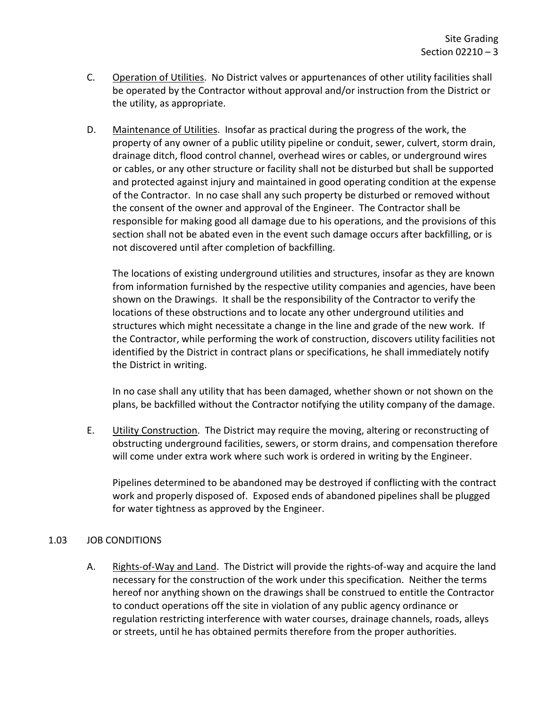- C. Operation of Utilities. No District valves or appurtenances of other utility facilities shall be operated by the Contractor without approval and/or instruction from the District or the utility, as appropriate.
- D. Maintenance of Utilities. Insofar as practical during the progress of the work, the property of any owner of a public utility pipeline or conduit, sewer, culvert, storm drain, drainage ditch, flood control channel, overhead wires or cables, or underground wires or cables, or any other structure or facility shall not be disturbed but shall be supported and protected against injury and maintained in good operating condition at the expense of the Contractor. In no case shall any such property be disturbed or removed without the consent of the owner and approval of the Engineer. The Contractor shall be responsible for making good all damage due to his operations, and the provisions of this section shall not be abated even in the event such damage occurs after backfilling, or is not discovered until after completion of backfilling.

The locations of existing underground utilities and structures, insofar as they are known from information furnished by the respective utility companies and agencies, have been shown on the Drawings. It shall be the responsibility of the Contractor to verify the locations of these obstructions and to locate any other underground utilities and structures which might necessitate a change in the line and grade of the new work. If the Contractor, while performing the work of construction, discovers utility facilities not identified by the District in contract plans or specifications, he shall immediately notify the District in writing.

In no case shall any utility that has been damaged, whether shown or not shown on the plans, be backfilled without the Contractor notifying the utility company of the damage.

E. Utility Construction. The District may require the moving, altering or reconstructing of obstructing underground facilities, sewers, or storm drains, and compensation therefore will come under extra work where such work is ordered in writing by the Engineer.

Pipelines determined to be abandoned may be destroyed if conflicting with the contract work and properly disposed of. Exposed ends of abandoned pipelines shall be plugged for water tightness as approved by the Engineer.

# <span id="page-4-0"></span>1.03 JOB CONDITIONS

A. Rights-of-Way and Land. The District will provide the rights-of-way and acquire the land necessary for the construction of the work under this specification. Neither the terms hereof nor anything shown on the drawings shall be construed to entitle the Contractor to conduct operations off the site in violation of any public agency ordinance or regulation restricting interference with water courses, drainage channels, roads, alleys or streets, until he has obtained permits therefore from the proper authorities.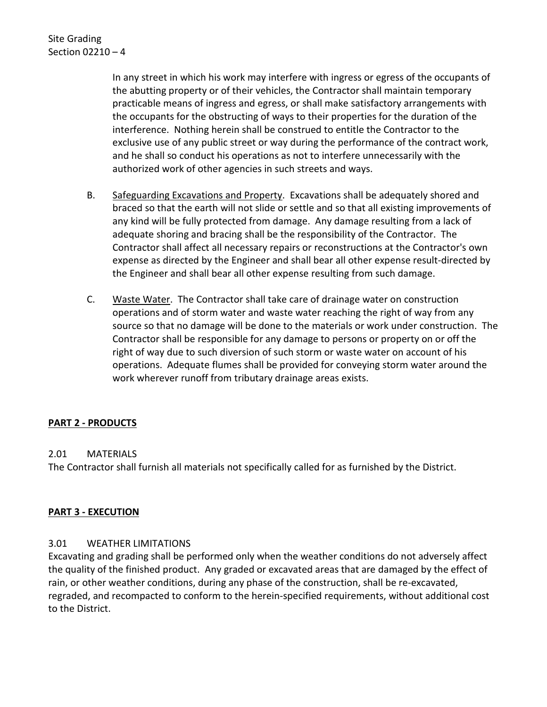In any street in which his work may interfere with ingress or egress of the occupants of the abutting property or of their vehicles, the Contractor shall maintain temporary practicable means of ingress and egress, or shall make satisfactory arrangements with the occupants for the obstructing of ways to their properties for the duration of the interference. Nothing herein shall be construed to entitle the Contractor to the exclusive use of any public street or way during the performance of the contract work, and he shall so conduct his operations as not to interfere unnecessarily with the authorized work of other agencies in such streets and ways.

- B. Safeguarding Excavations and Property. Excavations shall be adequately shored and braced so that the earth will not slide or settle and so that all existing improvements of any kind will be fully protected from damage. Any damage resulting from a lack of adequate shoring and bracing shall be the responsibility of the Contractor. The Contractor shall affect all necessary repairs or reconstructions at the Contractor's own expense as directed by the Engineer and shall bear all other expense result-directed by the Engineer and shall bear all other expense resulting from such damage.
- C. Waste Water. The Contractor shall take care of drainage water on construction operations and of storm water and waste water reaching the right of way from any source so that no damage will be done to the materials or work under construction. The Contractor shall be responsible for any damage to persons or property on or off the right of way due to such diversion of such storm or waste water on account of his operations. Adequate flumes shall be provided for conveying storm water around the work wherever runoff from tributary drainage areas exists.

# <span id="page-5-0"></span>**PART 2 - PRODUCTS**

#### <span id="page-5-1"></span>2.01 MATERIALS

The Contractor shall furnish all materials not specifically called for as furnished by the District.

#### <span id="page-5-2"></span>**PART 3 - EXECUTION**

#### <span id="page-5-3"></span>3.01 WEATHER LIMITATIONS

Excavating and grading shall be performed only when the weather conditions do not adversely affect the quality of the finished product. Any graded or excavated areas that are damaged by the effect of rain, or other weather conditions, during any phase of the construction, shall be re-excavated, regraded, and recompacted to conform to the herein-specified requirements, without additional cost to the District.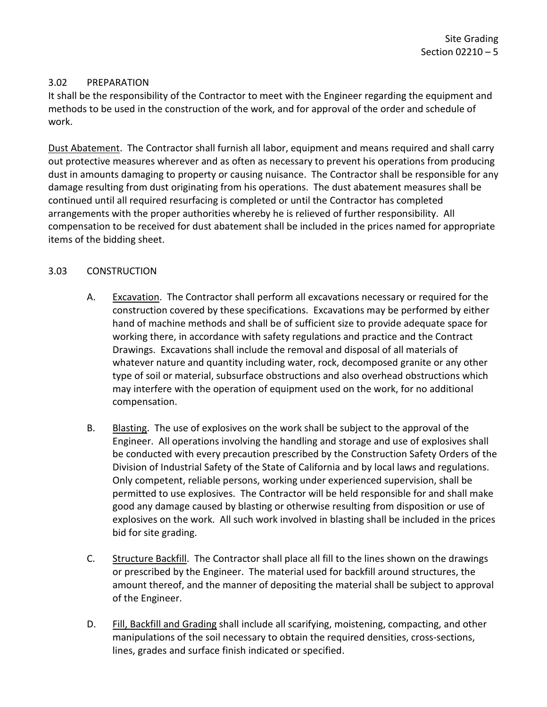### <span id="page-6-0"></span>3.02 PREPARATION

It shall be the responsibility of the Contractor to meet with the Engineer regarding the equipment and methods to be used in the construction of the work, and for approval of the order and schedule of work.

Dust Abatement. The Contractor shall furnish all labor, equipment and means required and shall carry out protective measures wherever and as often as necessary to prevent his operations from producing dust in amounts damaging to property or causing nuisance. The Contractor shall be responsible for any damage resulting from dust originating from his operations. The dust abatement measures shall be continued until all required resurfacing is completed or until the Contractor has completed arrangements with the proper authorities whereby he is relieved of further responsibility. All compensation to be received for dust abatement shall be included in the prices named for appropriate items of the bidding sheet.

### <span id="page-6-1"></span>3.03 CONSTRUCTION

- A. Excavation. The Contractor shall perform all excavations necessary or required for the construction covered by these specifications. Excavations may be performed by either hand of machine methods and shall be of sufficient size to provide adequate space for working there, in accordance with safety regulations and practice and the Contract Drawings. Excavations shall include the removal and disposal of all materials of whatever nature and quantity including water, rock, decomposed granite or any other type of soil or material, subsurface obstructions and also overhead obstructions which may interfere with the operation of equipment used on the work, for no additional compensation.
- B. Blasting. The use of explosives on the work shall be subject to the approval of the Engineer. All operations involving the handling and storage and use of explosives shall be conducted with every precaution prescribed by the Construction Safety Orders of the Division of Industrial Safety of the State of California and by local laws and regulations. Only competent, reliable persons, working under experienced supervision, shall be permitted to use explosives. The Contractor will be held responsible for and shall make good any damage caused by blasting or otherwise resulting from disposition or use of explosives on the work. All such work involved in blasting shall be included in the prices bid for site grading.
- C. Structure Backfill. The Contractor shall place all fill to the lines shown on the drawings or prescribed by the Engineer. The material used for backfill around structures, the amount thereof, and the manner of depositing the material shall be subject to approval of the Engineer.
- D. Fill, Backfill and Grading shall include all scarifying, moistening, compacting, and other manipulations of the soil necessary to obtain the required densities, cross-sections, lines, grades and surface finish indicated or specified.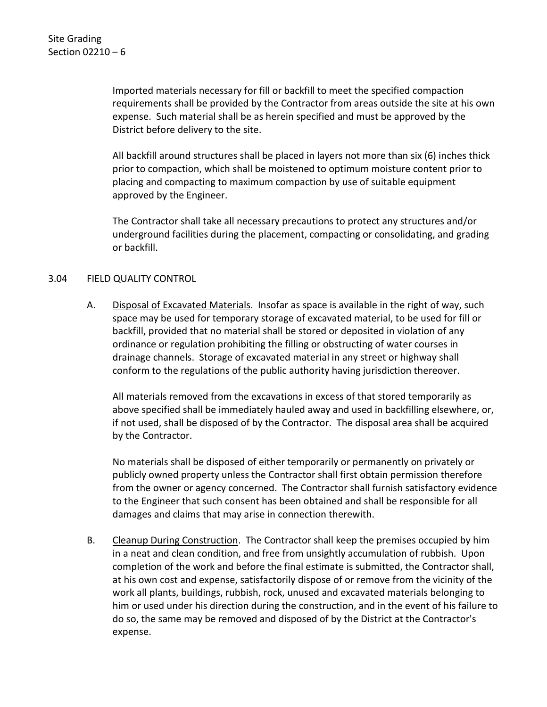Imported materials necessary for fill or backfill to meet the specified compaction requirements shall be provided by the Contractor from areas outside the site at his own expense. Such material shall be as herein specified and must be approved by the District before delivery to the site.

All backfill around structures shall be placed in layers not more than six (6) inches thick prior to compaction, which shall be moistened to optimum moisture content prior to placing and compacting to maximum compaction by use of suitable equipment approved by the Engineer.

The Contractor shall take all necessary precautions to protect any structures and/or underground facilities during the placement, compacting or consolidating, and grading or backfill.

#### <span id="page-7-0"></span>3.04 FIELD QUALITY CONTROL

A. Disposal of Excavated Materials. Insofar as space is available in the right of way, such space may be used for temporary storage of excavated material, to be used for fill or backfill, provided that no material shall be stored or deposited in violation of any ordinance or regulation prohibiting the filling or obstructing of water courses in drainage channels. Storage of excavated material in any street or highway shall conform to the regulations of the public authority having jurisdiction thereover.

All materials removed from the excavations in excess of that stored temporarily as above specified shall be immediately hauled away and used in backfilling elsewhere, or, if not used, shall be disposed of by the Contractor. The disposal area shall be acquired by the Contractor.

No materials shall be disposed of either temporarily or permanently on privately or publicly owned property unless the Contractor shall first obtain permission therefore from the owner or agency concerned. The Contractor shall furnish satisfactory evidence to the Engineer that such consent has been obtained and shall be responsible for all damages and claims that may arise in connection therewith.

B. Cleanup During Construction. The Contractor shall keep the premises occupied by him in a neat and clean condition, and free from unsightly accumulation of rubbish. Upon completion of the work and before the final estimate is submitted, the Contractor shall, at his own cost and expense, satisfactorily dispose of or remove from the vicinity of the work all plants, buildings, rubbish, rock, unused and excavated materials belonging to him or used under his direction during the construction, and in the event of his failure to do so, the same may be removed and disposed of by the District at the Contractor's expense.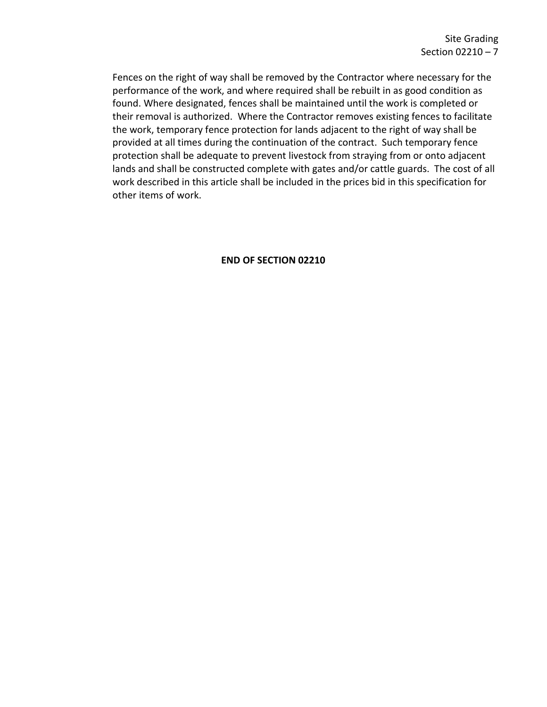Fences on the right of way shall be removed by the Contractor where necessary for the performance of the work, and where required shall be rebuilt in as good condition as found. Where designated, fences shall be maintained until the work is completed or their removal is authorized. Where the Contractor removes existing fences to facilitate the work, temporary fence protection for lands adjacent to the right of way shall be provided at all times during the continuation of the contract. Such temporary fence protection shall be adequate to prevent livestock from straying from or onto adjacent lands and shall be constructed complete with gates and/or cattle guards. The cost of all work described in this article shall be included in the prices bid in this specification for other items of work.

#### **END OF SECTION 02210**